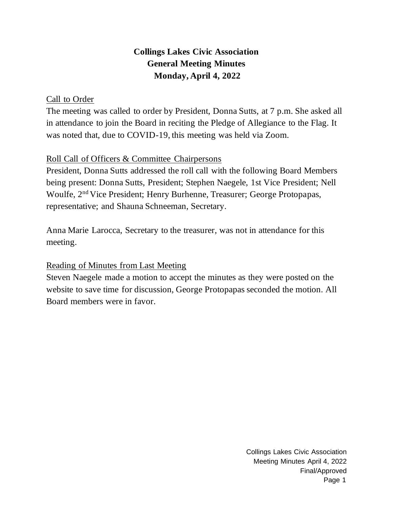# **Collings Lakes Civic Association General Meeting Minutes Monday, April 4, 2022**

## Call to Order

The meeting was called to order by President, Donna Sutts, at 7 p.m. She asked all in attendance to join the Board in reciting the Pledge of Allegiance to the Flag. It was noted that, due to COVID-19, this meeting was held via Zoom.

## Roll Call of Officers & Committee Chairpersons

President, Donna Sutts addressed the roll call with the following Board Members being present: Donna Sutts, President; Stephen Naegele, 1st Vice President; Nell Woulfe, 2nd Vice President; Henry Burhenne, Treasurer; George Protopapas, representative; and Shauna Schneeman, Secretary.

Anna Marie Larocca, Secretary to the treasurer, was not in attendance for this meeting.

## Reading of Minutes from Last Meeting

Steven Naegele made a motion to accept the minutes as they were posted on the website to save time for discussion, George Protopapas seconded the motion. All Board members were in favor.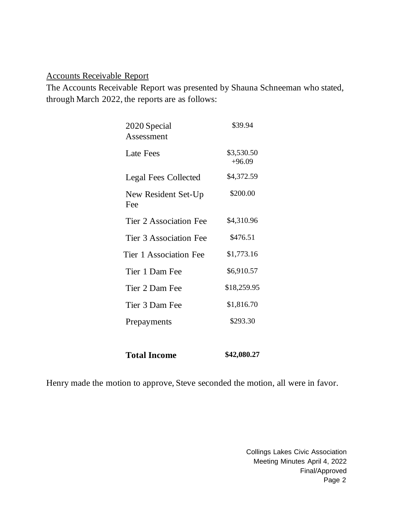#### Accounts Receivable Report

The Accounts Receivable Report was presented by Shauna Schneeman who stated, through March 2022, the reports are as follows:

| 2020 Special<br>Assessment | \$39.94                |
|----------------------------|------------------------|
| <b>Late Fees</b>           | \$3,530.50<br>$+96.09$ |
| Legal Fees Collected       | \$4,372.59             |
| New Resident Set-Up<br>Fee | \$200.00               |
| Tier 2 Association Fee     | \$4,310.96             |
| Tier 3 Association Fee     | \$476.51               |
| Tier 1 Association Fee     | \$1,773.16             |
| Tier 1 Dam Fee             | \$6,910.57             |
| Tier 2 Dam Fee             | \$18,259.95            |
| Tier 3 Dam Fee             | \$1,816.70             |
| Prepayments                | \$293.30               |
|                            |                        |

**Total Income \$42,080.27**

Henry made the motion to approve, Steve seconded the motion, all were in favor.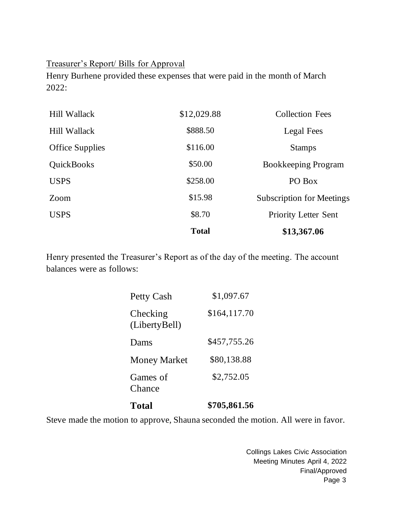#### Treasurer's Report/ Bills for Approval

Henry Burhene provided these expenses that were paid in the month of March 2022:

|                        | <b>Total</b> | \$13,367.06                      |
|------------------------|--------------|----------------------------------|
| <b>USPS</b>            | \$8.70       | <b>Priority Letter Sent</b>      |
| Zoom                   | \$15.98      | <b>Subscription for Meetings</b> |
| <b>USPS</b>            | \$258.00     | PO Box                           |
| <b>QuickBooks</b>      | \$50.00      | Bookkeeping Program              |
| <b>Office Supplies</b> | \$116.00     | <b>Stamps</b>                    |
| Hill Wallack           | \$888.50     | Legal Fees                       |
| Hill Wallack           | \$12,029.88  | <b>Collection Fees</b>           |

Henry presented the Treasurer's Report as of the day of the meeting. The account balances were as follows:

| <b>Total</b>              | \$705,861.56 |
|---------------------------|--------------|
| Games of<br>Chance        | \$2,752.05   |
| <b>Money Market</b>       | \$80,138.88  |
| Dams                      | \$457,755.26 |
| Checking<br>(LibertyBell) | \$164,117.70 |
| Petty Cash                | \$1,097.67   |

Steve made the motion to approve, Shauna seconded the motion. All were in favor.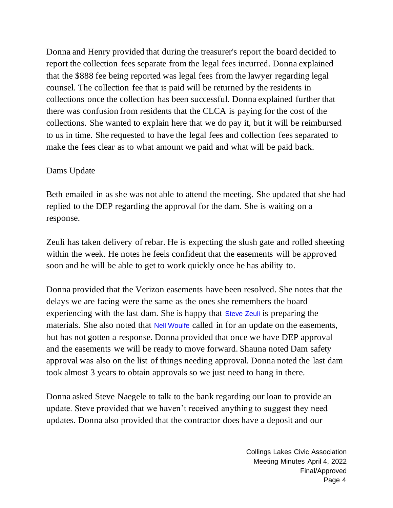Donna and Henry provided that during the treasurer's report the board decided to report the collection fees separate from the legal fees incurred. Donna explained that the \$888 fee being reported was legal fees from the lawyer regarding legal counsel. The collection fee that is paid will be returned by the residents in collections once the collection has been successful. Donna explained further that there was confusion from residents that the CLCA is paying for the cost of the collections. She wanted to explain here that we do pay it, but it will be reimbursed to us in time. She requested to have the legal fees and collection fees separated to make the fees clear as to what amount we paid and what will be paid back.

#### Dams Update

Beth emailed in as she was not able to attend the meeting. She updated that she had replied to the DEP regarding the approval for the dam. She is waiting on a response.

Zeuli has taken delivery of rebar. He is expecting the slush gate and rolled sheeting within the week. He notes he feels confident that the easements will be approved soon and he will be able to get to work quickly once he has ability to.

Donna provided that the Verizon easements have been resolved. She notes that the delays we are facing were the same as the ones she remembers the board experiencing with the last dam. She is happy that **[Steve Zeuli](mailto:szeuli@rdzeuli.com)** is preparing the materials. She also noted that **[Nell Woulfe](mailto:nwoulfe@collingslakes.org)** called in for an update on the easements, but has not gotten a response. Donna provided that once we have DEP approval and the easements we will be ready to move forward. Shauna noted Dam safety approval was also on the list of things needing approval. Donna noted the last dam took almost 3 years to obtain approvals so we just need to hang in there.

Donna asked Steve Naegele to talk to the bank regarding our loan to provide an update. Steve provided that we haven't received anything to suggest they need updates. Donna also provided that the contractor does have a deposit and our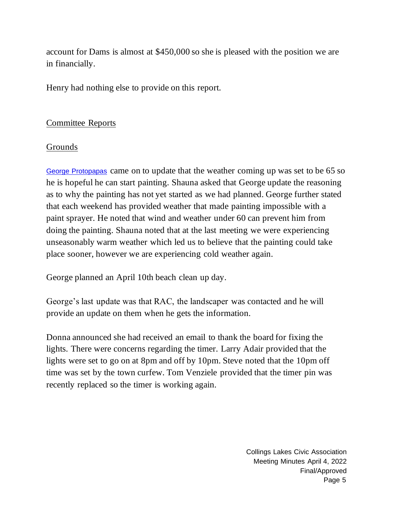account for Dams is almost at \$450,000 so she is pleased with the position we are in financially.

Henry had nothing else to provide on this report.

## Committee Reports

## Grounds

[George Protopapas](mailto:gprotopapas@collingslakes.org) came on to update that the weather coming up was set to be 65 so he is hopeful he can start painting. Shauna asked that George update the reasoning as to why the painting has not yet started as we had planned. George further stated that each weekend has provided weather that made painting impossible with a paint sprayer. He noted that wind and weather under 60 can prevent him from doing the painting. Shauna noted that at the last meeting we were experiencing unseasonably warm weather which led us to believe that the painting could take place sooner, however we are experiencing cold weather again.

George planned an April 10th beach clean up day.

George's last update was that RAC, the landscaper was contacted and he will provide an update on them when he gets the information.

Donna announced she had received an email to thank the board for fixing the lights. There were concerns regarding the timer. Larry Adair provided that the lights were set to go on at 8pm and off by 10pm. Steve noted that the 10pm off time was set by the town curfew. Tom Venziele provided that the timer pin was recently replaced so the timer is working again.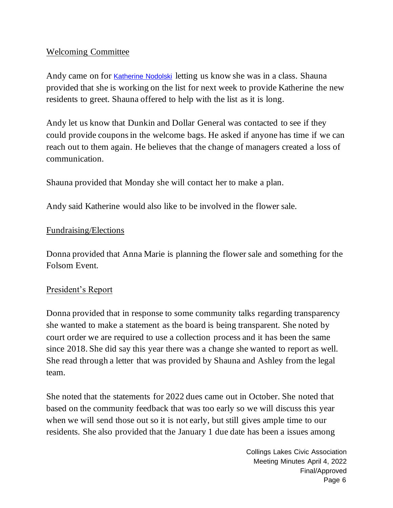### Welcoming Committee

Andy came on for [Katherine Nodolski](mailto:Plantikat@gmail.com) letting us know she was in a class. Shauna provided that she is working on the list for next week to provide Katherine the new residents to greet. Shauna offered to help with the list as it is long.

Andy let us know that Dunkin and Dollar General was contacted to see if they could provide coupons in the welcome bags. He asked if anyone has time if we can reach out to them again. He believes that the change of managers created a loss of communication.

Shauna provided that Monday she will contact her to make a plan.

Andy said Katherine would also like to be involved in the flower sale.

#### Fundraising/Elections

Donna provided that Anna Marie is planning the flower sale and something for the Folsom Event.

#### President's Report

Donna provided that in response to some community talks regarding transparency she wanted to make a statement as the board is being transparent. She noted by court order we are required to use a collection process and it has been the same since 2018. She did say this year there was a change she wanted to report as well. She read through a letter that was provided by Shauna and Ashley from the legal team.

She noted that the statements for 2022 dues came out in October. She noted that based on the community feedback that was too early so we will discuss this year when we will send those out so it is not early, but still gives ample time to our residents. She also provided that the January 1 due date has been a issues among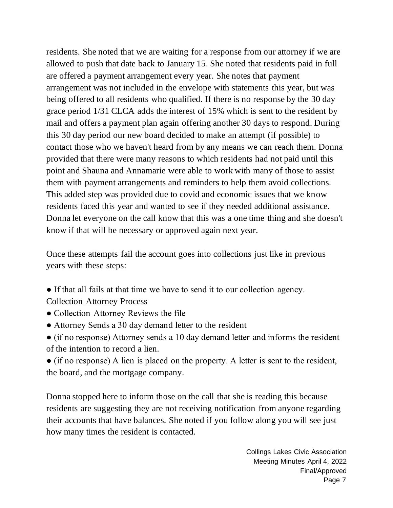residents. She noted that we are waiting for a response from our attorney if we are allowed to push that date back to January 15. She noted that residents paid in full are offered a payment arrangement every year. She notes that payment arrangement was not included in the envelope with statements this year, but was being offered to all residents who qualified. If there is no response by the 30 day grace period 1/31 CLCA adds the interest of 15% which is sent to the resident by mail and offers a payment plan again offering another 30 days to respond. During this 30 day period our new board decided to make an attempt (if possible) to contact those who we haven't heard from by any means we can reach them. Donna provided that there were many reasons to which residents had not paid until this point and Shauna and Annamarie were able to work with many of those to assist them with payment arrangements and reminders to help them avoid collections. This added step was provided due to covid and economic issues that we know residents faced this year and wanted to see if they needed additional assistance. Donna let everyone on the call know that this was a one time thing and she doesn't know if that will be necessary or approved again next year.

Once these attempts fail the account goes into collections just like in previous years with these steps:

- If that all fails at that time we have to send it to our collection agency. Collection Attorney Process
- Collection Attorney Reviews the file
- Attorney Sends a 30 day demand letter to the resident
- (if no response) Attorney sends a 10 day demand letter and informs the resident of the intention to record a lien.
- (if no response) A lien is placed on the property. A letter is sent to the resident, the board, and the mortgage company.

Donna stopped here to inform those on the call that she is reading this because residents are suggesting they are not receiving notification from anyone regarding their accounts that have balances. She noted if you follow along you will see just how many times the resident is contacted.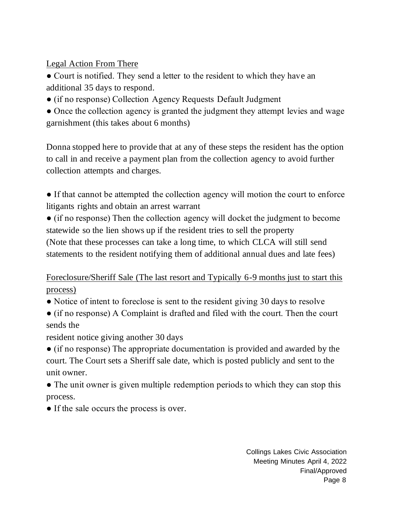Legal Action From There

● Court is notified. They send a letter to the resident to which they have an additional 35 days to respond.

- (if no response) Collection Agency Requests Default Judgment
- Once the collection agency is granted the judgment they attempt levies and wage garnishment (this takes about 6 months)

Donna stopped here to provide that at any of these steps the resident has the option to call in and receive a payment plan from the collection agency to avoid further collection attempts and charges.

● If that cannot be attempted the collection agency will motion the court to enforce litigants rights and obtain an arrest warrant

● (if no response) Then the collection agency will docket the judgment to become statewide so the lien shows up if the resident tries to sell the property (Note that these processes can take a long time, to which CLCA will still send statements to the resident notifying them of additional annual dues and late fees)

Foreclosure/Sheriff Sale (The last resort and Typically 6-9 months just to start this process)

- Notice of intent to foreclose is sent to the resident giving 30 days to resolve
- (if no response) A Complaint is drafted and filed with the court. Then the court sends the

resident notice giving another 30 days

● (if no response) The appropriate documentation is provided and awarded by the court. The Court sets a Sheriff sale date, which is posted publicly and sent to the unit owner.

- The unit owner is given multiple redemption periods to which they can stop this process.
- If the sale occurs the process is over.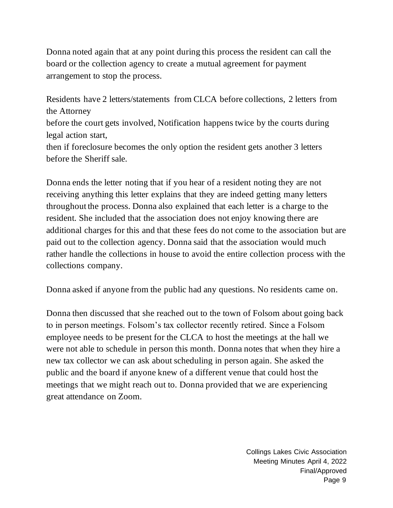Donna noted again that at any point during this process the resident can call the board or the collection agency to create a mutual agreement for payment arrangement to stop the process.

Residents have 2 letters/statements from CLCA before collections, 2 letters from the Attorney before the court gets involved, Notification happens twice by the courts during legal action start, then if foreclosure becomes the only option the resident gets another 3 letters before the Sheriff sale.

Donna ends the letter noting that if you hear of a resident noting they are not receiving anything this letter explains that they are indeed getting many letters throughout the process. Donna also explained that each letter is a charge to the resident. She included that the association does not enjoy knowing there are additional charges for this and that these fees do not come to the association but are paid out to the collection agency. Donna said that the association would much rather handle the collections in house to avoid the entire collection process with the collections company.

Donna asked if anyone from the public had any questions. No residents came on.

Donna then discussed that she reached out to the town of Folsom about going back to in person meetings. Folsom's tax collector recently retired. Since a Folsom employee needs to be present for the CLCA to host the meetings at the hall we were not able to schedule in person this month. Donna notes that when they hire a new tax collector we can ask about scheduling in person again. She asked the public and the board if anyone knew of a different venue that could host the meetings that we might reach out to. Donna provided that we are experiencing great attendance on Zoom.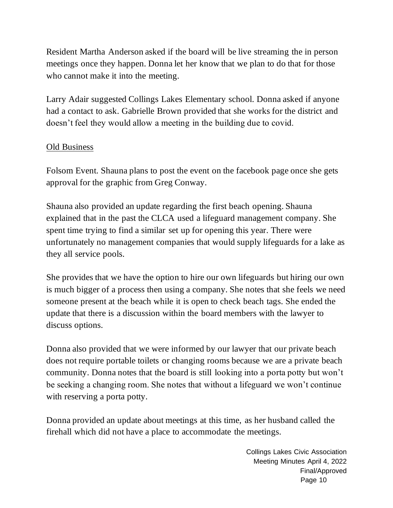Resident Martha Anderson asked if the board will be live streaming the in person meetings once they happen. Donna let her know that we plan to do that for those who cannot make it into the meeting.

Larry Adair suggested Collings Lakes Elementary school. Donna asked if anyone had a contact to ask. Gabrielle Brown provided that she works for the district and doesn't feel they would allow a meeting in the building due to covid.

## Old Business

Folsom Event. Shauna plans to post the event on the facebook page once she gets approval for the graphic from Greg Conway.

Shauna also provided an update regarding the first beach opening. Shauna explained that in the past the CLCA used a lifeguard management company. She spent time trying to find a similar set up for opening this year. There were unfortunately no management companies that would supply lifeguards for a lake as they all service pools.

She provides that we have the option to hire our own lifeguards but hiring our own is much bigger of a process then using a company. She notes that she feels we need someone present at the beach while it is open to check beach tags. She ended the update that there is a discussion within the board members with the lawyer to discuss options.

Donna also provided that we were informed by our lawyer that our private beach does not require portable toilets or changing rooms because we are a private beach community. Donna notes that the board is still looking into a porta potty but won't be seeking a changing room. She notes that without a lifeguard we won't continue with reserving a porta potty.

Donna provided an update about meetings at this time, as her husband called the firehall which did not have a place to accommodate the meetings.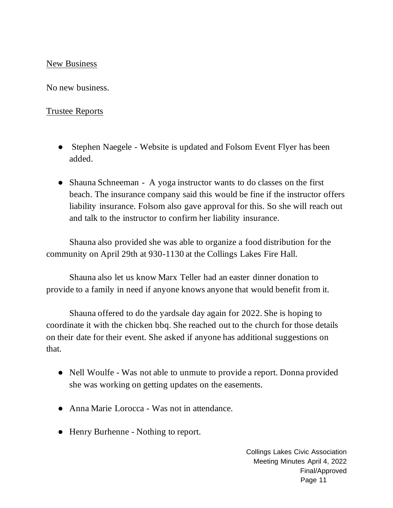#### New Business

No new business.

#### Trustee Reports

- Stephen Naegele Website is updated and Folsom Event Flyer has been added.
- Shauna Schneeman A yoga instructor wants to do classes on the first beach. The insurance company said this would be fine if the instructor offers liability insurance. Folsom also gave approval for this. So she will reach out and talk to the instructor to confirm her liability insurance.

Shauna also provided she was able to organize a food distribution for the community on April 29th at 930-1130 at the Collings Lakes Fire Hall.

Shauna also let us know Marx Teller had an easter dinner donation to provide to a family in need if anyone knows anyone that would benefit from it.

Shauna offered to do the yardsale day again for 2022. She is hoping to coordinate it with the chicken bbq. She reached out to the church for those details on their date for their event. She asked if anyone has additional suggestions on that.

- Nell Woulfe Was not able to unmute to provide a report. Donna provided she was working on getting updates on the easements.
- Anna Marie Lorocca Was not in attendance.
- Henry Burhenne Nothing to report.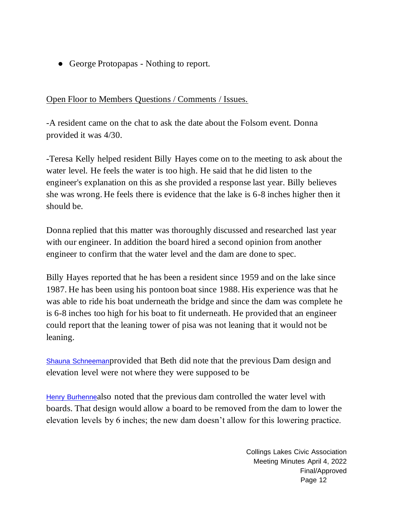• George Protopapas - Nothing to report.

## Open Floor to Members Questions / Comments / Issues.

-A resident came on the chat to ask the date about the Folsom event. Donna provided it was 4/30.

-Teresa Kelly helped resident Billy Hayes come on to the meeting to ask about the water level. He feels the water is too high. He said that he did listen to the engineer's explanation on this as she provided a response last year. Billy believes she was wrong. He feels there is evidence that the lake is 6-8 inches higher then it should be.

Donna replied that this matter was thoroughly discussed and researched last year with our engineer. In addition the board hired a second opinion from another engineer to confirm that the water level and the dam are done to spec.

Billy Hayes reported that he has been a resident since 1959 and on the lake since 1987. He has been using his pontoon boat since 1988. His experience was that he was able to ride his boat underneath the bridge and since the dam was complete he is 6-8 inches too high for his boat to fit underneath. He provided that an engineer could report that the leaning tower of pisa was not leaning that it would not be leaning.

[Shauna Schneeman](mailto:shaunas@collingslakes.org)provided that Beth did note that the previous Dam design and elevation level were not where they were supposed to be

[Henry Burhenne](mailto:hburhenne@collingslakes.org)also noted that the previous dam controlled the water level with boards. That design would allow a board to be removed from the dam to lower the elevation levels by 6 inches; the new dam doesn't allow for this lowering practice.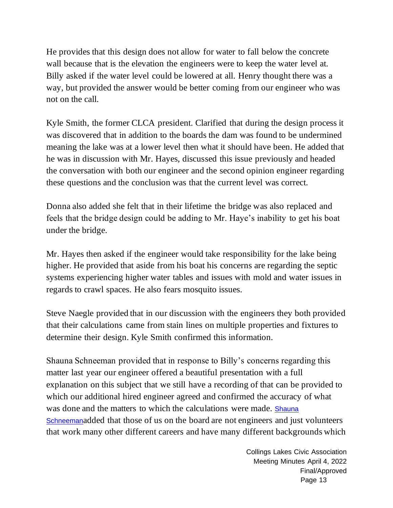He provides that this design does not allow for water to fall below the concrete wall because that is the elevation the engineers were to keep the water level at. Billy asked if the water level could be lowered at all. Henry thought there was a way, but provided the answer would be better coming from our engineer who was not on the call.

Kyle Smith, the former CLCA president. Clarified that during the design process it was discovered that in addition to the boards the dam was found to be undermined meaning the lake was at a lower level then what it should have been. He added that he was in discussion with Mr. Hayes, discussed this issue previously and headed the conversation with both our engineer and the second opinion engineer regarding these questions and the conclusion was that the current level was correct.

Donna also added she felt that in their lifetime the bridge was also replaced and feels that the bridge design could be adding to Mr. Haye's inability to get his boat under the bridge.

Mr. Hayes then asked if the engineer would take responsibility for the lake being higher. He provided that aside from his boat his concerns are regarding the septic systems experiencing higher water tables and issues with mold and water issues in regards to crawl spaces. He also fears mosquito issues.

Steve Naegle provided that in our discussion with the engineers they both provided that their calculations came from stain lines on multiple properties and fixtures to determine their design. Kyle Smith confirmed this information.

Shauna Schneeman provided that in response to Billy's concerns regarding this matter last year our engineer offered a beautiful presentation with a full explanation on this subject that we still have a recording of that can be provided to which our additional hired engineer agreed and confirmed the accuracy of what was done and the matters to which the calculations were made. Shauna [Schneeman](mailto:shaunas@collingslakes.org)added that those of us on the board are not engineers and just volunteers that work many other different careers and have many different backgrounds which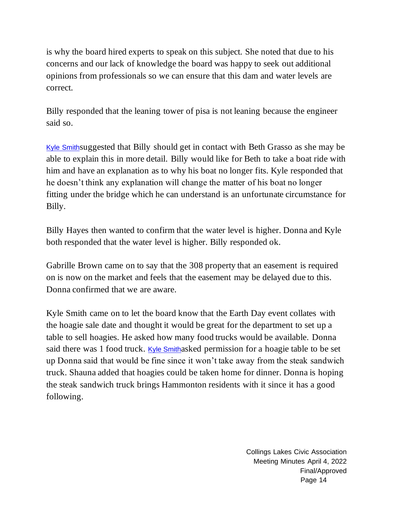is why the board hired experts to speak on this subject. She noted that due to his concerns and our lack of knowledge the board was happy to seek out additional opinions from professionals so we can ensure that this dam and water levels are correct.

Billy responded that the leaning tower of pisa is not leaning because the engineer said so.

[Kyle Smith](mailto:ksmith@collingslakes.org)suggested that Billy should get in contact with Beth Grasso as she may be able to explain this in more detail. Billy would like for Beth to take a boat ride with him and have an explanation as to why his boat no longer fits. Kyle responded that he doesn't think any explanation will change the matter of his boat no longer fitting under the bridge which he can understand is an unfortunate circumstance for Billy.

Billy Hayes then wanted to confirm that the water level is higher. Donna and Kyle both responded that the water level is higher. Billy responded ok.

Gabrille Brown came on to say that the 308 property that an easement is required on is now on the market and feels that the easement may be delayed due to this. Donna confirmed that we are aware.

Kyle Smith came on to let the board know that the Earth Day event collates with the hoagie sale date and thought it would be great for the department to set up a table to sell hoagies. He asked how many food trucks would be available. Donna said there was 1 food truck. [Kyle Smith](mailto:ksmith@collingslakes.org)asked permission for a hoagie table to be set up Donna said that would be fine since it won't take away from the steak sandwich truck. Shauna added that hoagies could be taken home for dinner. Donna is hoping the steak sandwich truck brings Hammonton residents with it since it has a good following.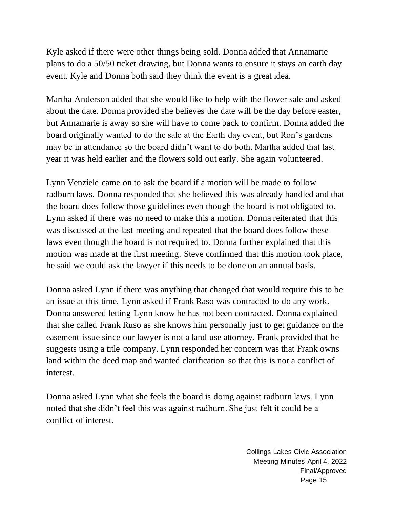Kyle asked if there were other things being sold. Donna added that Annamarie plans to do a 50/50 ticket drawing, but Donna wants to ensure it stays an earth day event. Kyle and Donna both said they think the event is a great idea.

Martha Anderson added that she would like to help with the flower sale and asked about the date. Donna provided she believes the date will be the day before easter, but Annamarie is away so she will have to come back to confirm. Donna added the board originally wanted to do the sale at the Earth day event, but Ron's gardens may be in attendance so the board didn't want to do both. Martha added that last year it was held earlier and the flowers sold out early. She again volunteered.

Lynn Venziele came on to ask the board if a motion will be made to follow radburn laws. Donna responded that she believed this was already handled and that the board does follow those guidelines even though the board is not obligated to. Lynn asked if there was no need to make this a motion. Donna reiterated that this was discussed at the last meeting and repeated that the board does follow these laws even though the board is not required to. Donna further explained that this motion was made at the first meeting. Steve confirmed that this motion took place, he said we could ask the lawyer if this needs to be done on an annual basis.

Donna asked Lynn if there was anything that changed that would require this to be an issue at this time. Lynn asked if Frank Raso was contracted to do any work. Donna answered letting Lynn know he has not been contracted. Donna explained that she called Frank Ruso as she knows him personally just to get guidance on the easement issue since our lawyer is not a land use attorney. Frank provided that he suggests using a title company. Lynn responded her concern was that Frank owns land within the deed map and wanted clarification so that this is not a conflict of interest.

Donna asked Lynn what she feels the board is doing against radburn laws. Lynn noted that she didn't feel this was against radburn. She just felt it could be a conflict of interest.